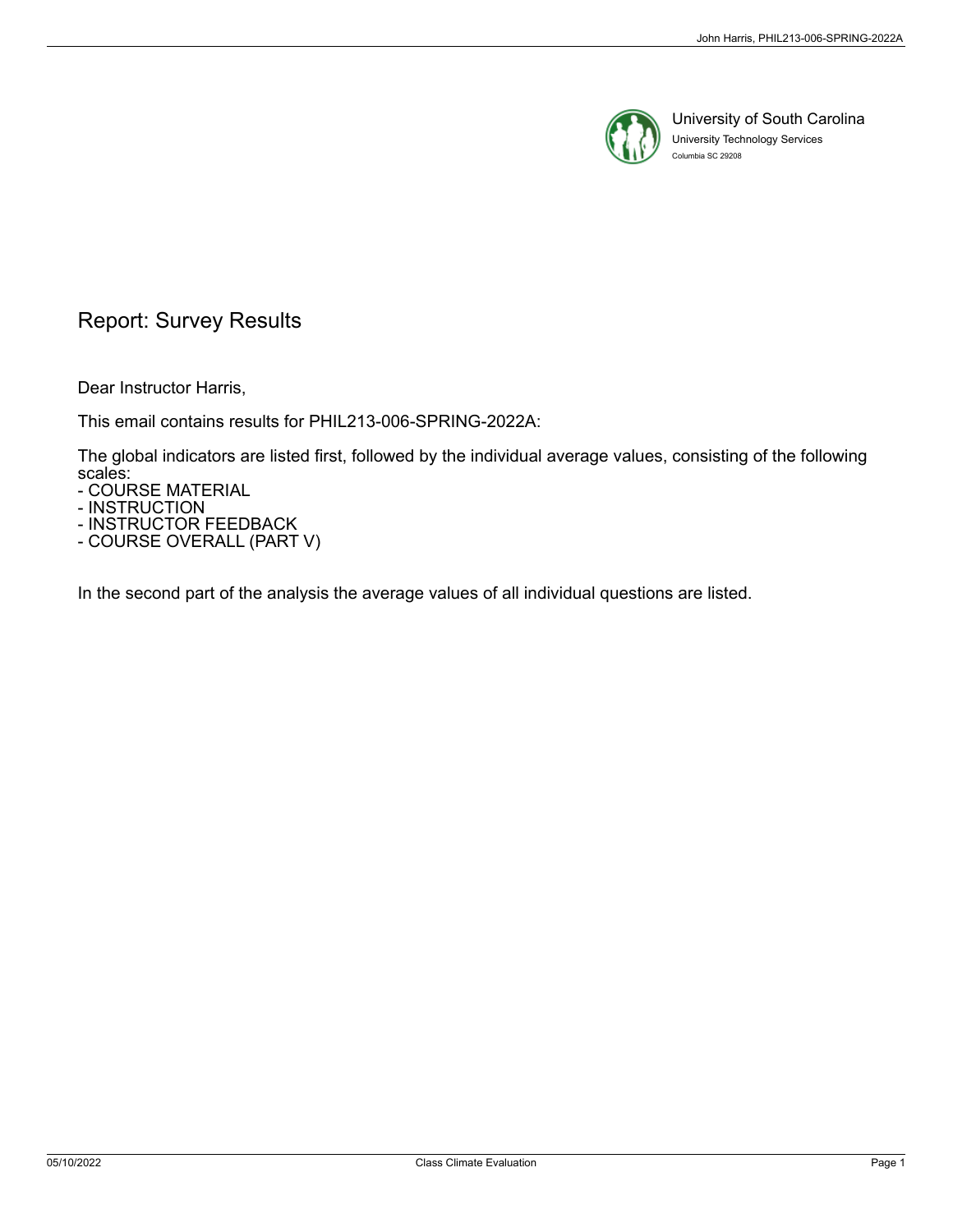

University of South Carolina University Technology Services Columbia SC 29208

## Report: Survey Results

Dear Instructor Harris,

This email contains results for PHIL213-006-SPRING-2022A:

The global indicators are listed first, followed by the individual average values, consisting of the following scales:

- COURSE MATERIAL

- INSTRUCTION

- INSTRUCTOR FEEDBACK - COURSE OVERALL (PART V)

In the second part of the analysis the average values of all individual questions are listed.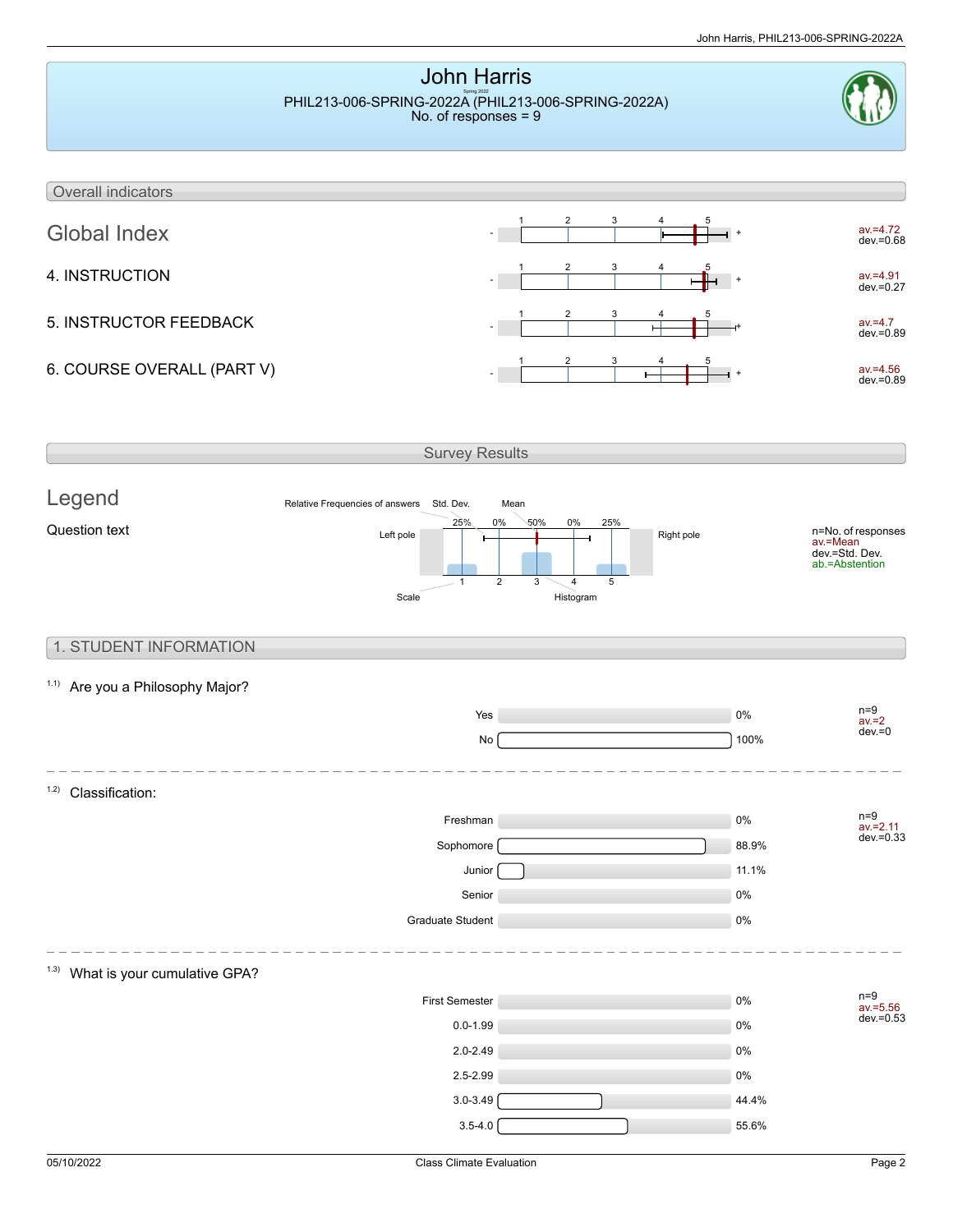

 $3.5-4.0$  55.6%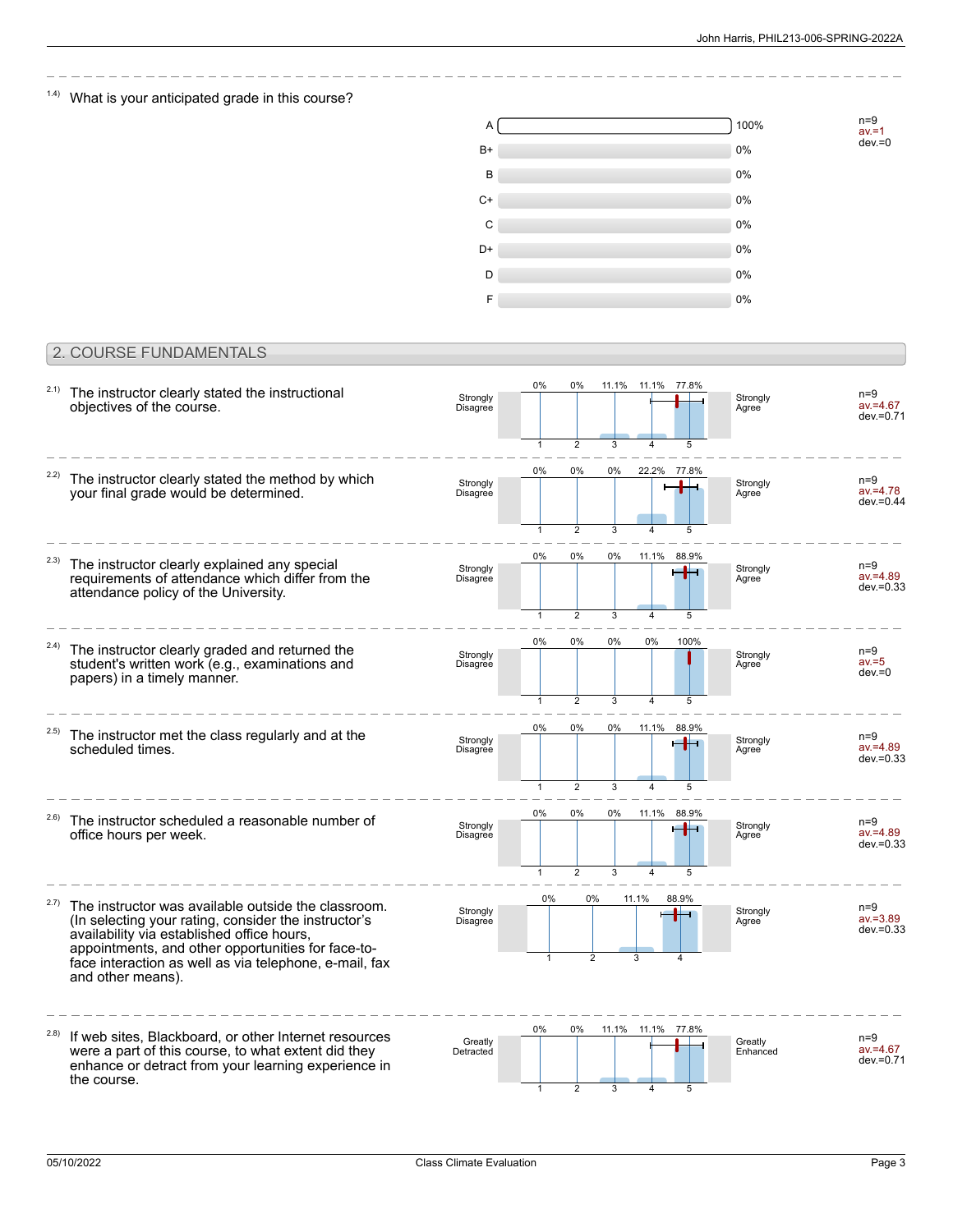n=9<br>av.=1<br>dev.=0

### $1.4$ ) What is your anticipated grade in this course?

| Α    | 100% |
|------|------|
| B+   | 0%   |
| B    | 0%   |
| $C+$ | 0%   |
| C    | 0%   |
| D+   | 0%   |
| D    | 0%   |
| F    | 0%   |

### 2. COURSE FUNDAMENTALS

| 2.1)  | The instructor clearly stated the instructional<br>objectives of the course.                                                                                                                                                                                                                   | Strongly<br>Disagree | 0%           | $0\%$                |         | 11.1% 11.1% 77.8%                      |            | Strongly<br>Agree   | $n=9$<br>$av = 4.67$<br>$dev = 0.71$ |
|-------|------------------------------------------------------------------------------------------------------------------------------------------------------------------------------------------------------------------------------------------------------------------------------------------------|----------------------|--------------|----------------------|---------|----------------------------------------|------------|---------------------|--------------------------------------|
| 2.2)  | The instructor clearly stated the method by which<br>your final grade would be determined.                                                                                                                                                                                                     | Strongly<br>Disagree | 0%           | $\overline{2}$<br>0% | 3<br>0% | 22.2%                                  | 5<br>77.8% | Strongly<br>Agree   | $n=9$<br>$av = 4.78$<br>$dev = 0.44$ |
|       |                                                                                                                                                                                                                                                                                                |                      | 1            | $\mathfrak{p}$       | 3       |                                        |            |                     |                                      |
| (2.3) | The instructor clearly explained any special<br>requirements of attendance which differ from the<br>attendance policy of the University.                                                                                                                                                       | Strongly<br>Disagree | 0%           | 0%                   | 0%      | 11.1%                                  | 88.9%      | Strongly<br>Agree   | $n=9$<br>$av = 4.89$<br>$dev = 0.33$ |
|       |                                                                                                                                                                                                                                                                                                |                      |              | $\overline{2}$       | 3       |                                        | 5          |                     |                                      |
| 2.4)  | The instructor clearly graded and returned the<br>student's written work (e.g., examinations and<br>papers) in a timely manner.                                                                                                                                                                | Strongly<br>Disagree | 0%           | 0%                   | 0%      | 0%                                     | 100%       | Strongly<br>Agree   | $n=9$<br>$av = 5$<br>$dev = 0$       |
|       |                                                                                                                                                                                                                                                                                                |                      | $\mathbf{1}$ | $\overline{2}$       | 3       | $\overline{\mathbf{4}}$                | 5          |                     |                                      |
| (2.5) | The instructor met the class regularly and at the<br>scheduled times.                                                                                                                                                                                                                          | Strongly<br>Disagree | 0%           | 0%                   | 0%      | 11.1%                                  | 88.9%      | Strongly<br>Agree   | $n=9$<br>$av = 4.89$<br>$dev = 0.33$ |
|       |                                                                                                                                                                                                                                                                                                |                      | 1            | $\overline{2}$       | 3       |                                        | 5          |                     |                                      |
| 2.6)  | The instructor scheduled a reasonable number of<br>office hours per week.                                                                                                                                                                                                                      | Strongly<br>Disagree | 0%           | 0%<br>$\overline{2}$ | 0%<br>3 | 11.1%<br>$\overline{\mathbf{A}}$       | 88.9%      | Strongly<br>Agree   | $n=9$<br>$av = 4.89$<br>$dev = 0.33$ |
| 2.7)  | The instructor was available outside the classroom.<br>(In selecting your rating, consider the instructor's<br>availability via established office hours,<br>appointments, and other opportunities for face-to-<br>face interaction as well as via telephone, e-mail, fax<br>and other means). | Strongly<br>Disagree | $0\%$        | 0%<br>$\overline{2}$ |         | 11.1%<br>3                             | 88.9%      | Strongly<br>Agree   | $n=9$<br>$av = 3.89$<br>$dev = 0.33$ |
| 2.8)  | If web sites, Blackboard, or other Internet resources<br>were a part of this course, to what extent did they<br>enhance or detract from your learning experience in<br>the course.                                                                                                             | Greatly<br>Detracted | 0%<br>1      | 0%<br>$\overline{2}$ | 3       | 11.1% 11.1%<br>$\overline{\mathbf{A}}$ | 77.8%<br>5 | Greatly<br>Enhanced | $n=9$<br>$av = 4.67$<br>$dev = 0.71$ |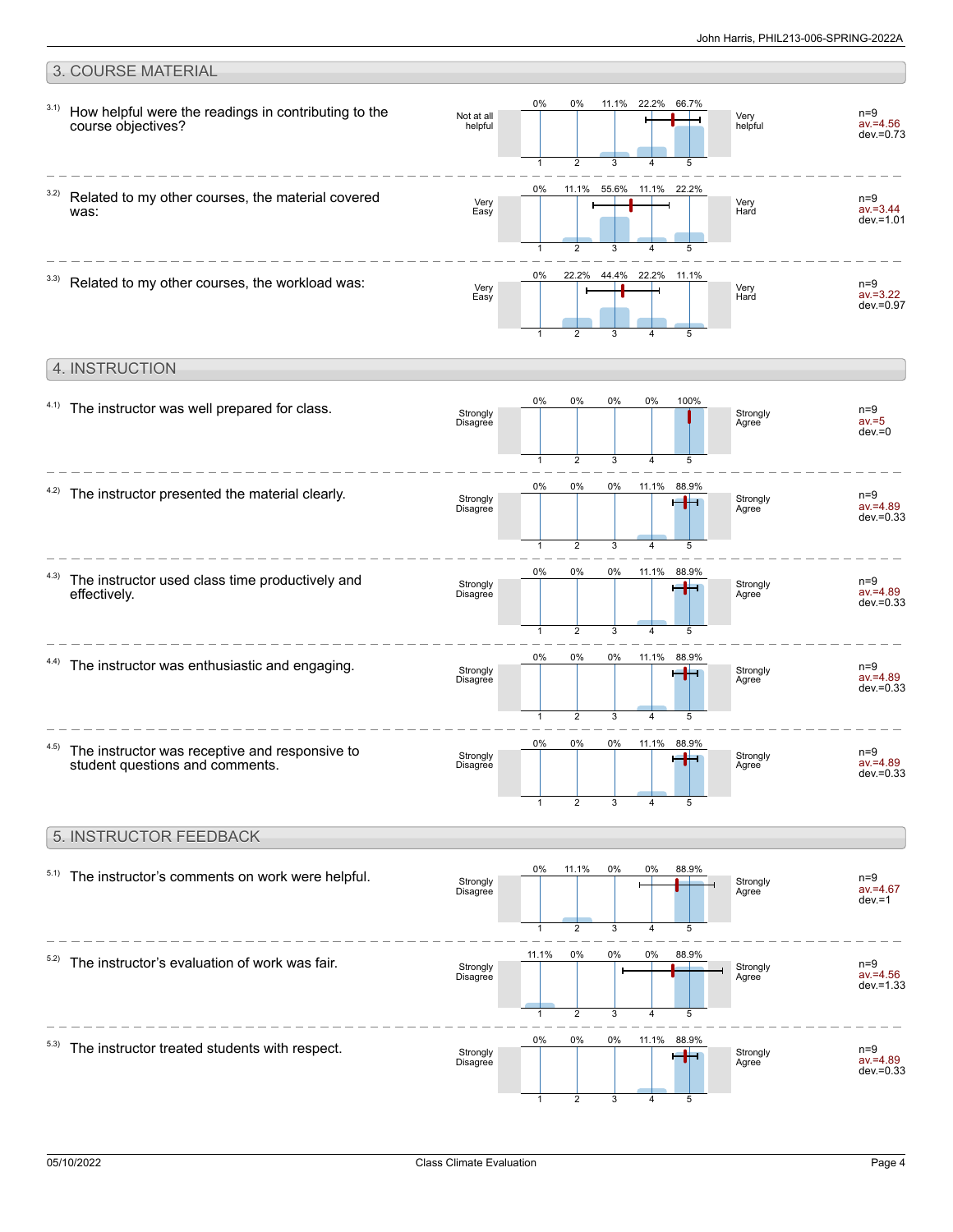**Strongly** Agree

#### 3. COURSE MATERIAL 0% 0% 11.1% 22.2% 66.7% 3.1) How helpful were the readings in contributing to the n=9 Not at all Very helpful  $av = 4.56$ course objectives? helpful dev.=0.73 5  $\overline{2}$ 3 1 4 0% 11.1% 55.6% 11.1% 22.2% 3.2) Related to my other courses, the material covered n=9 Very Very Hard av.=3.44 was: Easy  $dev = 1.01$ 3 4 5 1 2 44.4% 0% 22.2% 22.2% 11.1%  $3.3)$  Related to my other courses, the workload was: n=9 Very Easy Very Hard av.=3.22  $d$ ev = 0.97 3 5 1 2 4 4. INSTRUCTION 0% 0% 0% 0% 100%  $4.1)$  The instructor was well prepared for class. n=9 **Strongly** Strongly Agree  $av = 5$ Disagree  $dev = 0$ 3 5 1 2 4 0% 0% 0% 11.1% 88.9%  $4.2$ ) The instructor presented the material clearly. n=9 av.=4.89 Strongly . Strongly Agree Disagree dev.=0.33  $\overline{2}$ 3 4 5 1 0% 0% 0% 11.1% 88.9% 4.3) The instructor used class time productively and  $n=9$ r din l Strongly Disagree Strongly Agree av.=4.89 effectively. dev.=0.33 3 5  $\overline{\phantom{a}}$  $\overline{A}$ 1 0% 88.9% 0% 0% 11.1%  $4.4$ ) The instructor was enthusiastic and engaging. n=9 Strongly Strongly ساد av.=4.89 Disagree Agree  $d$ ev $=0.33$ 3  $\overline{4}$ 5 1  $\mathfrak{D}$ 0% 0% 0% 88.9% 11.1% 4.5) n=9 Strongly

The instructor was receptive and responsive to student questions and comments.

#### 5. INSTRUCTOR FEEDBACK



Disagree

1

2

3

4

5

 $\overline{a}$ 4

av.=4.89 dev.=0.33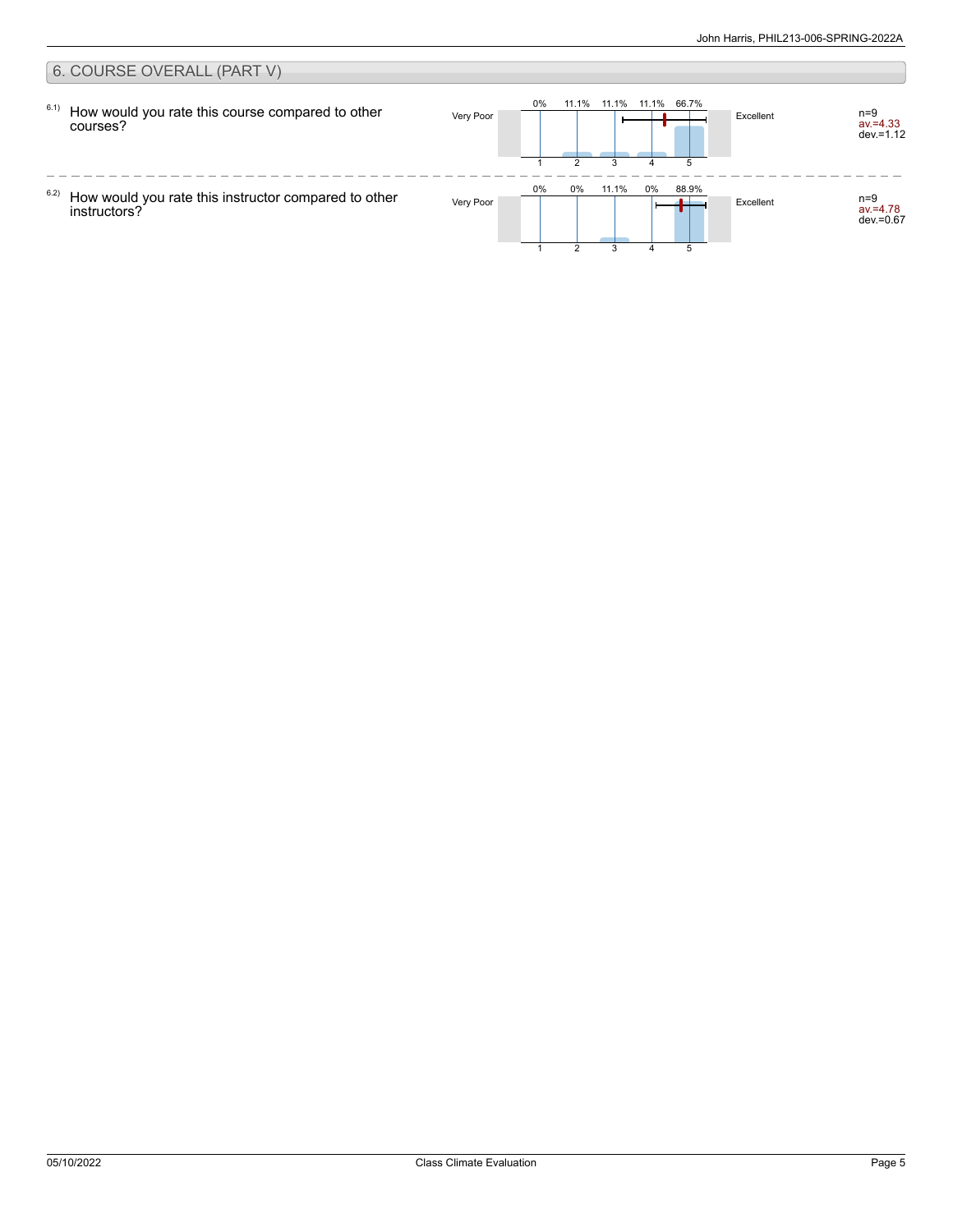#### 6. COURSE OVERALL (PART V) 0% 6.1) 11.1% 11.1% 11.1% 66.7% How would you rate this course compared to other Very Poor **Excellent** network is a set of the set of the set of the set of the set of the set of the set of the set of the set of the set of the set of the set of the set of the set of the set of the set of the set of the av.=4.33 dev.=1.12 courses? 2 3 4 5 1  $\overline{\phantom{0}}$  $- - - -$ 0% 0% 11.1% 0% 88.9% 6.2) Very Poor Excellent n=9 How would you rate this instructor compared to other av.=4.78 dev.=0.67 instructors?  $\mathfrak{p}$ 3 4 51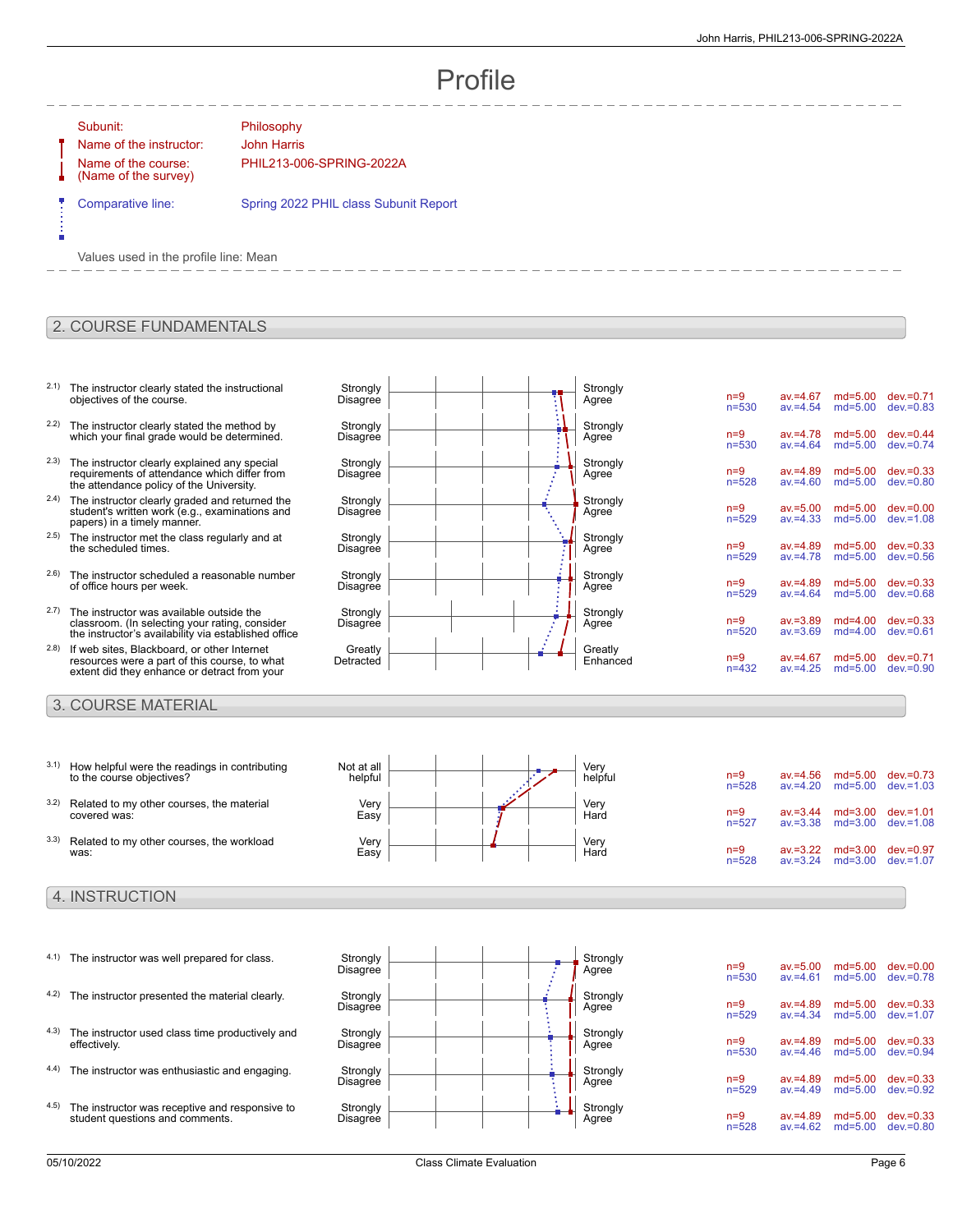$n=9$  av.=4.56 md=5.00 dev.=0.73<br>n=528 av.=4.20 md=5.00 dev.=1.03 md=5.00

n=9 av.=3.44 md=3.00 dev.=1.01<br>n=527 av.=3.38 md=3.00 dev.=1.08 md=3.00

n=9 av.=3.22 md=3.00 dev.=0.97<br>n=528 av.=3.24 md=3.00 dev.=1.07  $md=3.00$ 

# Profile

#### Subunit: Philosophy

Name of the instructor: John Harris Name of the course: (Name of the survey)

PHIL213-006-SPRING-2022A

Comparative line: Spring 2022 PHIL class Subunit Report

Values used in the profile line: Mean

#### 2. COURSE FUNDAMENTALS

- 2.1) The instructor clearly stated the instructional objectives of the course.
- 2.2) The instructor clearly stated the method by which your final grade would be determined.
- 2.3) The instructor clearly explained any special requirements of attendance which differ from the attendance policy of the University.
- 2.4) The instructor clearly graded and returned the student's written work (e.g., examinations and papers) in a timely manner.
- 2.5) The instructor met the class regularly and at the scheduled times.
- 2.6) The instructor scheduled a reasonable number of office hours per week.
- 2.7) The instructor was available outside the classroom. (In selecting your rating, consider the instructor's availability via established office
- 2.8) If web sites, Blackboard, or other Internet resources were a part of this course, to what extent did they enhance or detract from your

#### 3. COURSE MATERIAL

- 3.1) How helpful were the readings in contributing to the course objectives? 3.2) Related to my other courses, the material
- covered was:
- 3.3) Related to my other courses, the workload was:

#### 4. INSTRUCTION

- $4.1$ ) The instructor was well prepared for class. 4.2) The instructor presented the material clearly. 4.3) The instructor used class time productively and effectively.
- 4.4) The instructor was enthusiastic and engaging. Strongly
- 4.5) The instructor was receptive and responsive to student questions and comments.

| $n=9$<br>$av = 4.67$<br>$md = 5.00$<br>$dev = 0.71$<br>$n = 530$<br>$md=5.00$<br>$av = 4.54$<br>$dev = 0.83$   |
|----------------------------------------------------------------------------------------------------------------|
| $dev = 0.44$<br>$n=9$<br>$md = 5.00$<br>$av = 4.78$<br>$n = 530$<br>$av = 4.64$<br>$md=5.00$<br>$dev = 0.74$   |
| $n=9$<br>$dev = 0.33$<br>$av = 4.89$<br>$md = 5.00$<br>$n = 528$<br>$md=5.00$<br>$dev = 0.80$<br>$av = 4.60$   |
| $dev = 0.00$<br>$n=9$<br>$av = 5.00$<br>$md = 5.00$<br>$n = 529$<br>$md=5.00$<br>$dev = 1.08$<br>$av = 4.33$   |
| $md = 5.00$<br>$dev = 0.33$<br>$n=9$<br>$av = 4.89$<br>$n = 529$<br>$md=5.00$<br>$av = 4.78$<br>$dev = 0.56$   |
| $dev = 0.33$<br>$n=9$<br>$md = 5.00$<br>$av = 4.89$<br>$n = 529$<br>$md=5.00$<br>$av = 4.64$<br>$dev = 0.68$   |
| $dev = 0.33$<br>$n=9$<br>$av = 3.89$<br>$md=4.00$<br>$n = 520$<br>$av = 3.69$<br>$md=4.00$<br>$dev = 0.61$     |
| $dev = 0.71$<br>$n=9$<br>$md = 5.00$<br>$av = 4.67$<br>$n = 432$<br>$dev = 0.90$<br>$av = 4.25$<br>$md = 5.00$ |
|                                                                                                                |

| Not at all<br>helpful |  | Very<br>helpful |
|-----------------------|--|-----------------|
| Very<br>Easy          |  | Very<br>Hard    |
| Very<br>Easy          |  | Very<br>Hard    |

|  | Strongly<br>Agree | $n=9$<br>$n=5$ |
|--|-------------------|----------------|
|  | Strongly<br>Agree | $n=9$<br>$n=5$ |
|  | Strongly<br>Agree | $n=9$<br>$n=5$ |
|  | Strongly<br>Agree | $n=9$<br>$n=5$ |
|  | Strongly<br>Agree | $n=9$<br>$n=5$ |

| Strongly | $n=9$     | $av = 5.00$ | $md = 5.00$ | $dev = 0.00$ |
|----------|-----------|-------------|-------------|--------------|
| Agree    | $n = 530$ | $av = 4.61$ | $md = 5.00$ | $dev = 0.78$ |
| Strongly | $n=9$     | $av = 4.89$ | $md = 5.00$ | $dev = 0.33$ |
| Agree    | $n = 529$ | $av = 4.34$ | $md=5.00$   | $dev = 1.07$ |
| Strongly | $n=9$     | $av = 4.89$ | $md = 5.00$ | $dev = 0.33$ |
| Aaree    | $n = 530$ | $av = 4.46$ | $md = 5.00$ | $dev = 0.94$ |
| Strongly | $n=9$     | $av = 4.89$ | $md = 5.00$ | $dev = 0.33$ |
| Aaree    | $n = 529$ | $av = 4.49$ | $md = 5.00$ | $dev = 0.92$ |
| Strongly | $n=9$     | $av = 4.89$ | $md = 5.00$ | $dev = 0.33$ |
| Agree    | $n = 528$ | $av = 4.62$ | $md=5.00$   | $dev = 0.80$ |

Strongly<br>Disagree

Strongly<br>Disagree

Strongly Disagree

Disagree

**Strongly Disagree**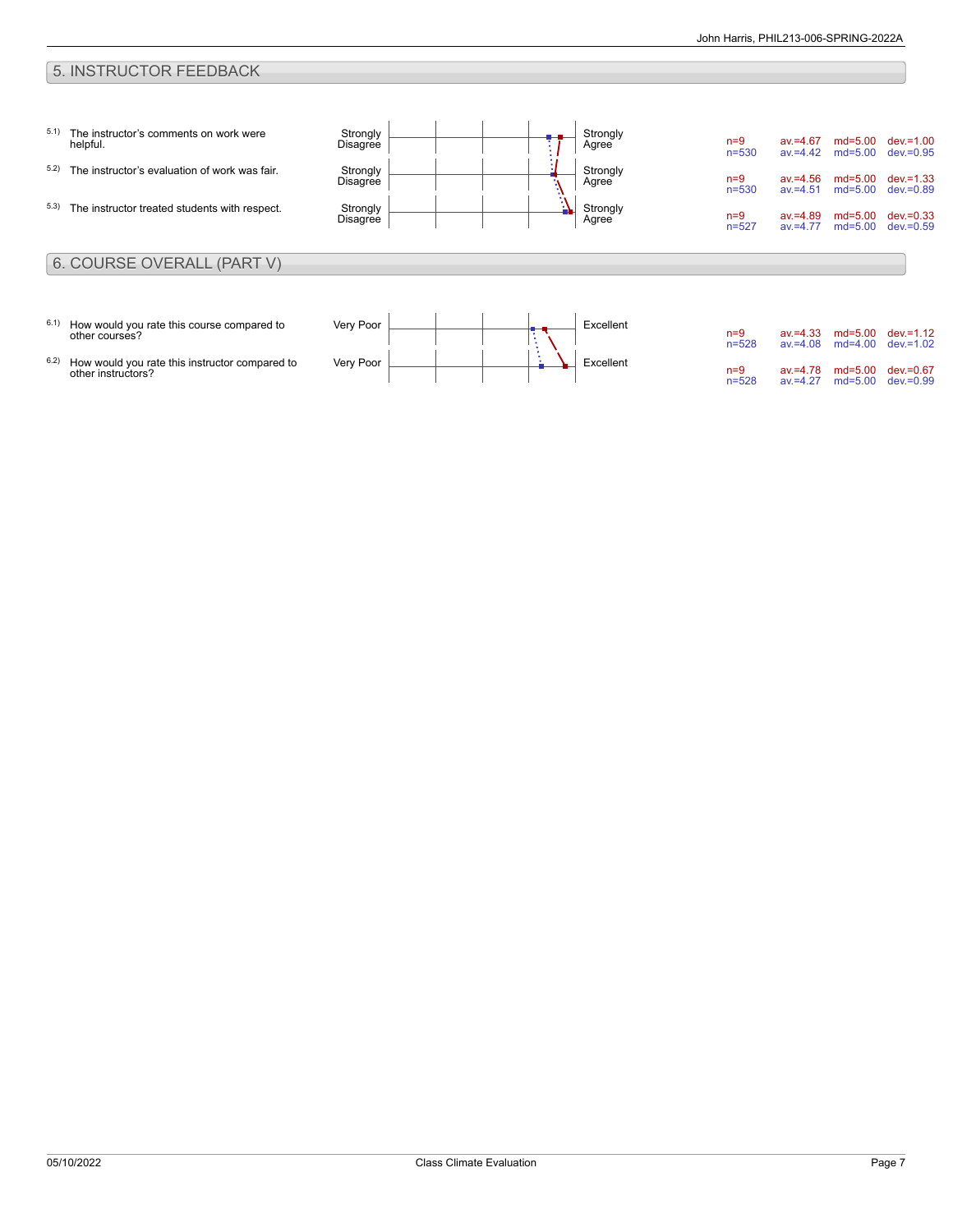### 5. INSTRUCTOR FEEDBACK

| 5.1)<br>5.2)<br>5.3) | The instructor's comments on work were<br>helpful.<br>The instructor's evaluation of work was fair.<br>The instructor treated students with respect. | Strongly<br>Disagree<br>Strongly<br>Disagree<br>Strongly<br>Disagree |  | $\overline{\phantom{0}}$ | Strongly<br>Agree<br>Strongly<br>Agree<br>Strongly<br>Agree | $n=9$<br>$n = 530$<br>$n=9$<br>$n = 530$<br>$n=9$<br>$n = 527$ | $av = 4.67$<br>$av = 4.42$<br>$av = 4.56$<br>$av = 4.51$<br>$av = 4.89$<br>$av = 4.77$ | $md = 5.00$<br>$md=5.00$<br>$md = 5.00$<br>$md=5.00$<br>$md=5.00$<br>$md=5.00$ | $dev = 1.00$<br>$dev = 0.95$<br>$dev = 1.33$<br>$dev = 0.89$<br>$dev = 0.33$<br>$dev = 0.59$ |
|----------------------|------------------------------------------------------------------------------------------------------------------------------------------------------|----------------------------------------------------------------------|--|--------------------------|-------------------------------------------------------------|----------------------------------------------------------------|----------------------------------------------------------------------------------------|--------------------------------------------------------------------------------|----------------------------------------------------------------------------------------------|
|                      | 6. COURSE OVERALL (PART V)                                                                                                                           |                                                                      |  |                          |                                                             |                                                                |                                                                                        |                                                                                |                                                                                              |
| 6.1)<br>6.2)         | How would you rate this course compared to<br>other courses?<br>How would you rate this instructor compared to<br>other instructors?                 | Very Poor<br>Very Poor                                               |  |                          | Excellent<br>Excellent                                      | $n=9$<br>$n = 528$<br>$n=9$<br>$n = 528$                       | $av = 4.33$<br>$av = 4.08$<br>$av = 4.78$<br>$av = 4.27$                               | $md=5.00$<br>$md=4.00$<br>$md = 5.00$<br>$md=5.00$                             | $dev = 1.12$<br>$dev = 1.02$<br>$dev = 0.67$<br>$dev = 0.99$                                 |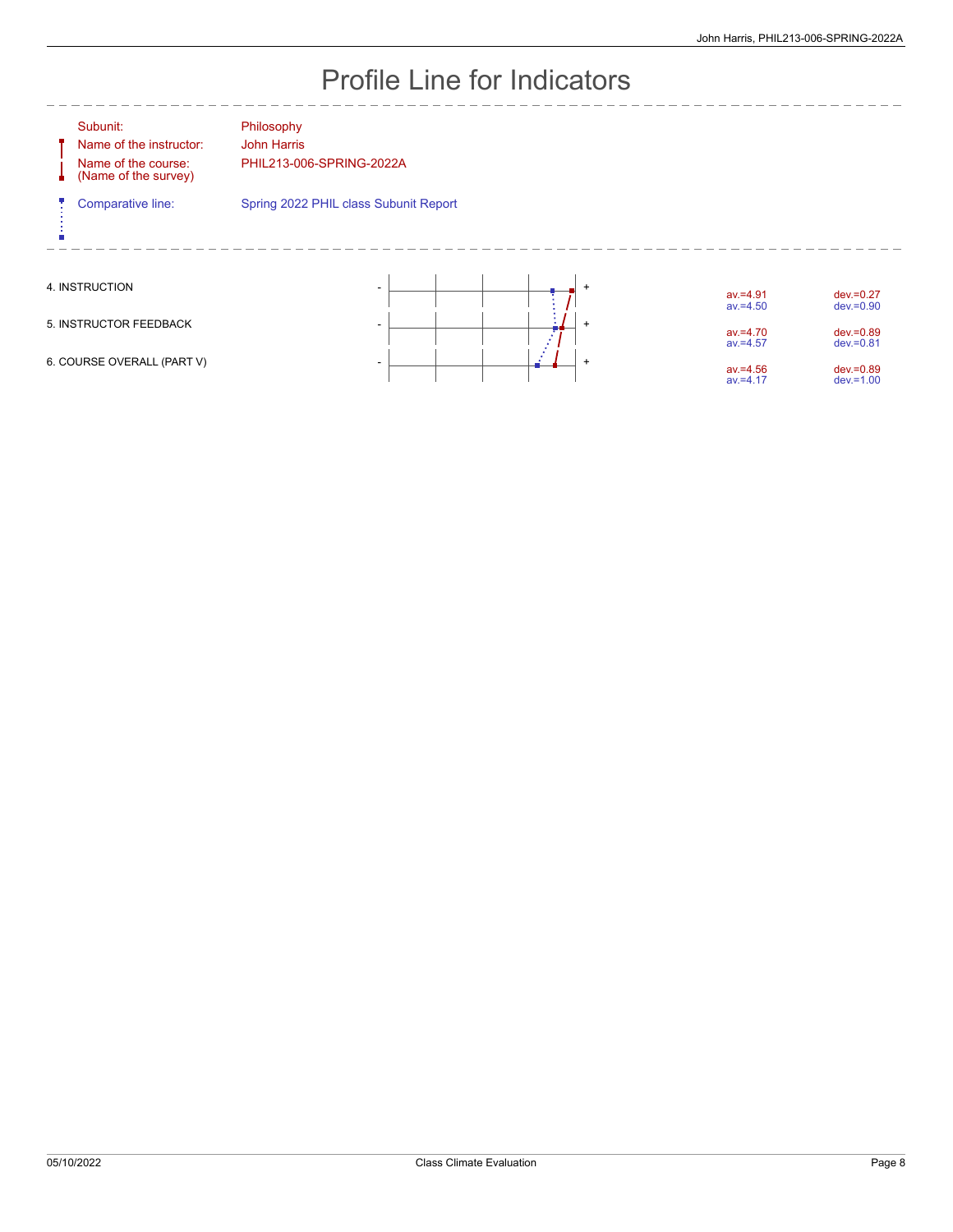# Profile Line for Indicators

| Subunit:<br>Name of the instructor:<br>Name of the course:<br>(Name of the survey) | Philosophy<br><b>John Harris</b><br>PHIL213-006-SPRING-2022A |                |                            |                              |
|------------------------------------------------------------------------------------|--------------------------------------------------------------|----------------|----------------------------|------------------------------|
| Comparative line:                                                                  | Spring 2022 PHIL class Subunit Report                        |                |                            |                              |
| 4. INSTRUCTION                                                                     | ۰                                                            | $\ddot{}$      | $av = 4.91$<br>$av = 4.50$ | $dev = 0.27$<br>$dev = 0.90$ |
| 5. INSTRUCTOR FEEDBACK                                                             |                                                              | $\overline{+}$ | $av = 4.70$<br>$av = 4.57$ | $dev = 0.89$<br>$dev = 0.81$ |
| 6. COURSE OVERALL (PART V)                                                         |                                                              | $\overline{1}$ | $av = 4.56$<br>$av = 4.17$ | $dev = 0.89$<br>$dev = 1.00$ |